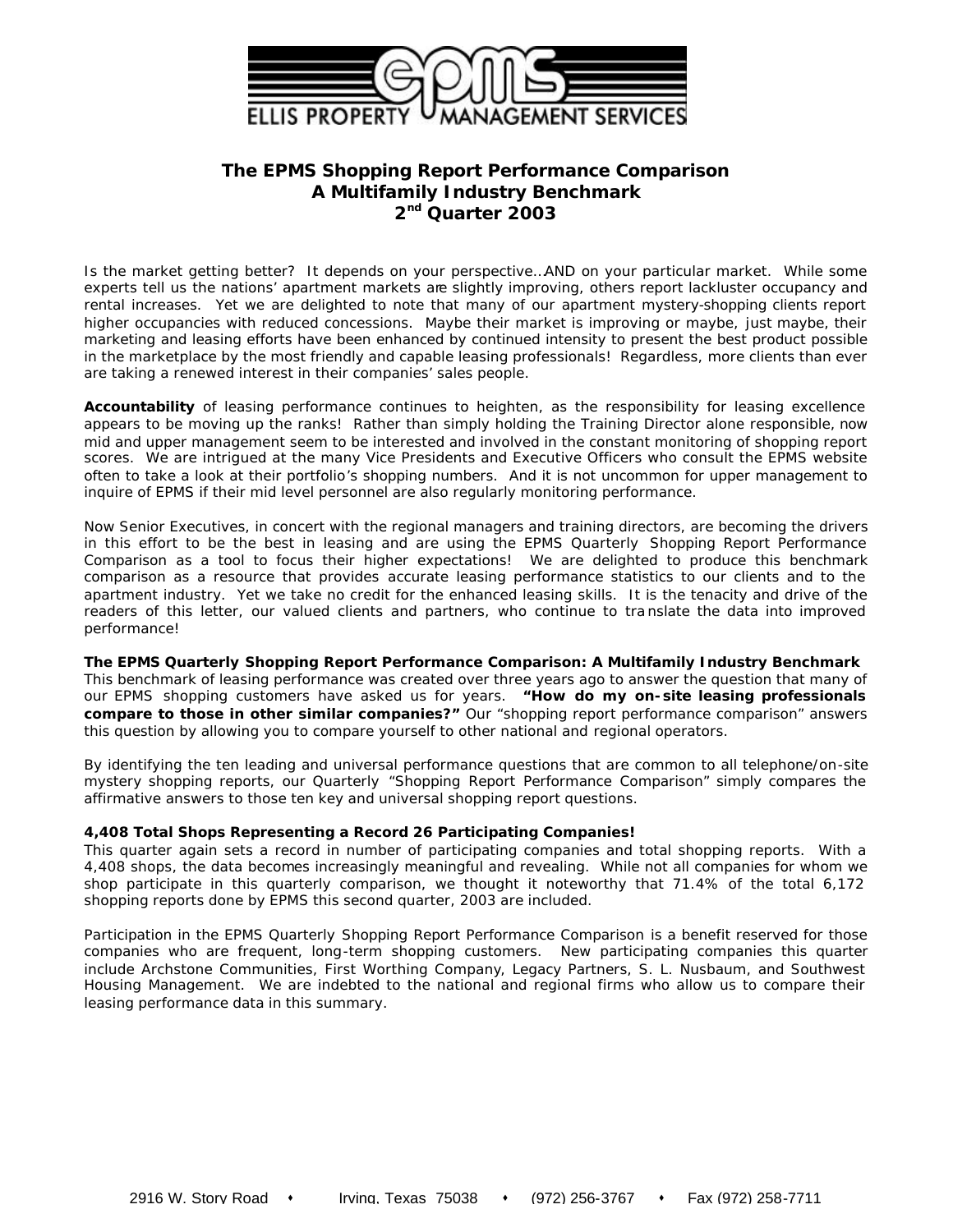

# **The EPMS** *Shopping Report Performance Comparison* **A Multifamily Industry Benchmark 2 nd Quarter 2003**

Is the market getting better? It depends on your perspective…AND on your particular market. While some experts tell us the nations' apartment markets are slightly improving, others report lackluster occupancy and rental increases. Yet we are delighted to note that many of our apartment mystery-shopping clients report higher occupancies with reduced concessions. Maybe their market is improving or maybe, just maybe, their marketing and leasing efforts have been enhanced by continued intensity to present the best product possible in the marketplace by the most friendly and capable leasing professionals! Regardless, more clients than ever are taking a renewed interest in their companies' sales people.

**Accountability** of leasing performance continues to heighten, as the responsibility for leasing excellence appears to be moving up the ranks! Rather than simply holding the Training Director alone responsible, now mid and upper management seem to be interested and involved in the constant monitoring of shopping report scores. We are intrigued at the many Vice Presidents and Executive Officers who consult the EPMS website often to take a look at their portfolio's shopping numbers. And it is not uncommon for upper management to inquire of EPMS if their mid level personnel are also regularly monitoring performance.

Now Senior Executives, in concert with the regional managers and training directors, are becoming the drivers in this effort to be the best in leasing and are using the EPMS Quarterly *Shopping Report Performance Comparison* as a tool to focus their higher expectations! We are delighted to produce this benchmark comparison as a resource that provides accurate leasing performance statistics to our clients and to the apartment industry. Yet we take no credit for the enhanced leasing skills. It is the tenacity and drive of the readers of this letter, our valued clients and partners, who continue to tra nslate the data into improved performance!

**The EPMS Quarterly** *Shopping Report Performance Comparison:* **A Multifamily Industry Benchmark** This benchmark of leasing performance was created over three years ago to answer the question that many of our EPMS shopping customers have asked us for years. *"How do my on-site leasing professionals compare to those in other similar companies?"* Our "shopping report performance comparison" answers this question by allowing you to compare yourself to other national and regional operators.

By identifying the ten leading and universal performance questions that are common to all telephone/on-site mystery shopping reports, our Quarterly *"Shopping Report Performance Comparison"* simply compares the affirmative answers to those ten key and universal shopping report questions.

#### **4,408 Total Shops Representing a Record 26 Participating Companies!**

This quarter again sets a record in number of participating companies and total shopping reports. With a 4,408 shops, the data becomes increasingly meaningful and revealing. While not all companies for whom we shop participate in this quarterly comparison, we thought it noteworthy that 71.4% of the total 6,172 shopping reports done by EPMS this second quarter, 2003 are included.

Participation in the EPMS Quarterly *Shopping Report Performance Comparison* is a benefit reserved for those companies who are frequent, long-term shopping customers. New participating companies this quarter include Archstone Communities, First Worthing Company, Legacy Partners, S. L. Nusbaum, and Southwest Housing Management*.* We are indebted to the national and regional firms who allow us to compare their leasing performance data in this summary.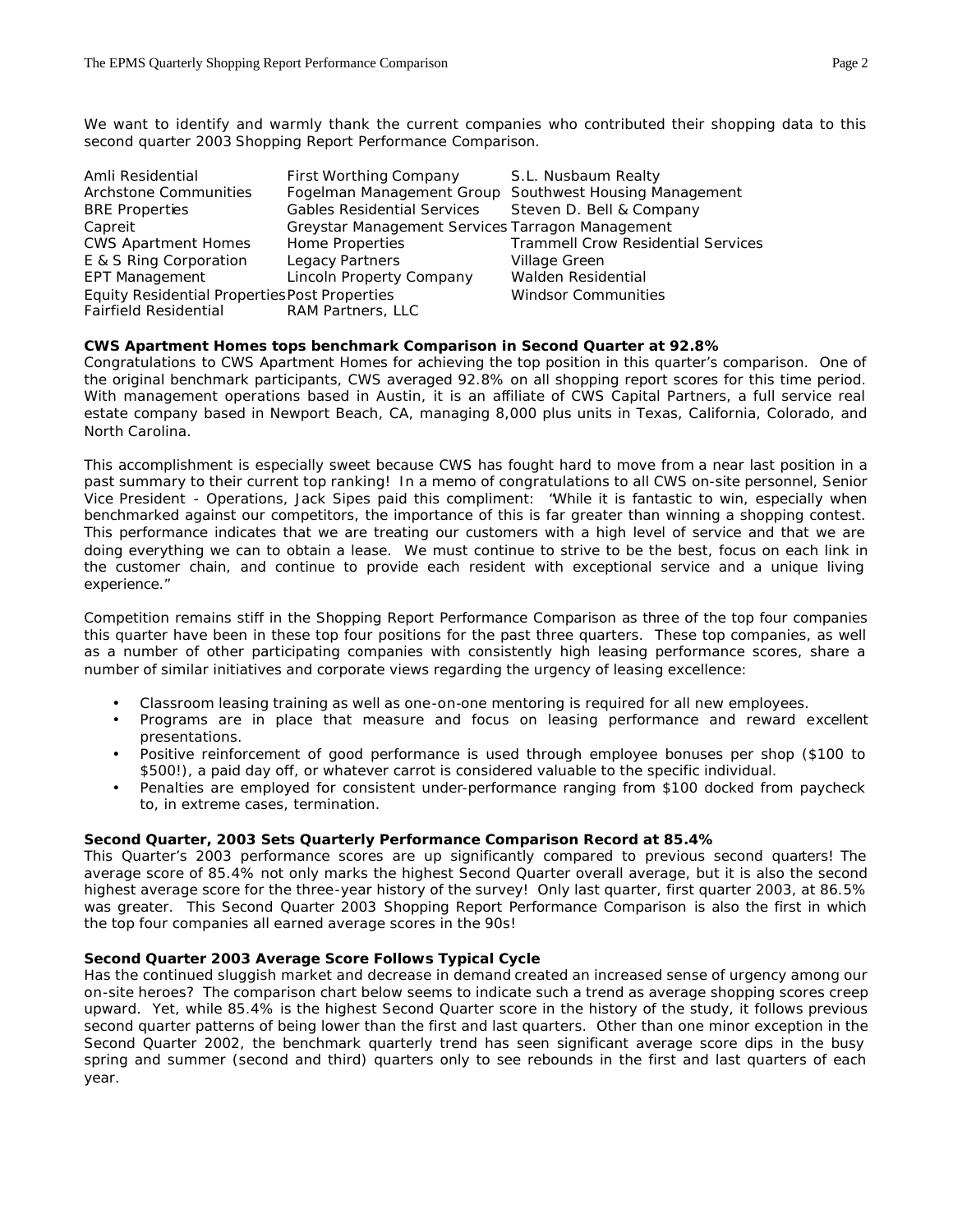We want to identify and warmly thank the current companies who contributed their shopping data to this second quarter 2003 *Shopping Report Performance Comparison.*

| Amli Residential                                     | First Worthing Company                           | S.L. Nusbaum Realty                       |
|------------------------------------------------------|--------------------------------------------------|-------------------------------------------|
| <b>Archstone Communities</b>                         | Fogelman Management Group                        | Southwest Housing Management              |
| <b>BRE Properties</b>                                | <b>Gables Residential Services</b>               | Steven D. Bell & Company                  |
| Capreit                                              | Greystar Management Services Tarragon Management |                                           |
| <b>CWS Apartment Homes</b>                           | Home Properties                                  | <b>Trammell Crow Residential Services</b> |
| E & S Ring Corporation                               | Legacy Partners                                  | Village Green                             |
| <b>EPT Management</b>                                | Lincoln Property Company                         | Walden Residential                        |
| <b>Equity Residential Properties Post Properties</b> |                                                  | <b>Windsor Communities</b>                |
| <b>Fairfield Residential</b>                         | RAM Partners, LLC                                |                                           |

#### **CWS Apartment Homes tops benchmark Comparison in Second Quarter at 92.8%**

Congratulations to CWS Apartment Homes for achieving the top position in this quarter's comparison. One of the original benchmark participants, CWS averaged 92.8% on all shopping report scores for this time period. With management operations based in Austin, it is an affiliate of CWS Capital Partners, a full service real estate company based in Newport Beach, CA, managing 8,000 plus units in Texas, California, Colorado, and North Carolina.

This accomplishment is especially sweet because CWS has fought hard to move from a near last position in a past summary to their current top ranking! In a memo of congratulations to all CWS on-site personnel, Senior Vice President - Operations, Jack Sipes paid this compliment: "*While it is fantastic to win, especially when benchmarked against our competitors, the importance of this is far greater than winning a shopping contest. This performance indicates that we are treating our customers with a high level of service and that we are doing everything we can to obtain a lease. We must continue to strive to be the best, focus on each link in the customer chain, and continue to provide each resident with exceptional service and a unique living experience."*

Competition remains stiff in the *Shopping Report Performance Comparison* as three of the top four companies this quarter have been in these top four positions for the past three quarters. These top companies, as well as a number of other participating companies with consistently high leasing performance scores, share a number of similar initiatives and corporate views regarding the urgency of leasing excellence:

- Classroom leasing training as well as one-on-one mentoring is required for all new employees.
- Programs are in place that measure and focus on leasing performance and reward excellent presentations.
- Positive reinforcement of good performance is used through employee bonuses per shop (\$100 to \$500!), a paid day off, or whatever carrot is considered valuable to the specific individual.
- Penalties are employed for consistent under-performance ranging from \$100 docked from paycheck to, in extreme cases, termination.

#### **Second Quarter, 2003 Sets Quarterly Performance Comparison Record at 85.4%**

This Quarter's 2003 performance scores are up significantly compared to previous second quarters! The average score of 85.4% not only marks the highest Second Quarter overall average, but it is also the second highest average score for the three-year history of the survey! Only last quarter, first quarter 2003, at 86.5% was greater. This Second Quarter 2003 *Shopping Report Performance Comparison* is also the first in which the top four companies all earned average scores in the 90s!

### **Second Quarter 2003 Average Score Follows Typical Cycle**

Has the continued sluggish market and decrease in demand created an increased sense of urgency among our on-site heroes? The comparison chart below seems to indicate such a trend as average shopping scores creep upward. Yet, while 85.4% is the highest Second Quarter score in the history of the study, it follows previous second quarter patterns of being lower than the first and last quarters. Other than one minor exception in the Second Quarter 2002, the benchmark quarterly trend has seen significant average score dips in the busy spring and summer (second and third) quarters only to see rebounds in the first and last quarters of each year.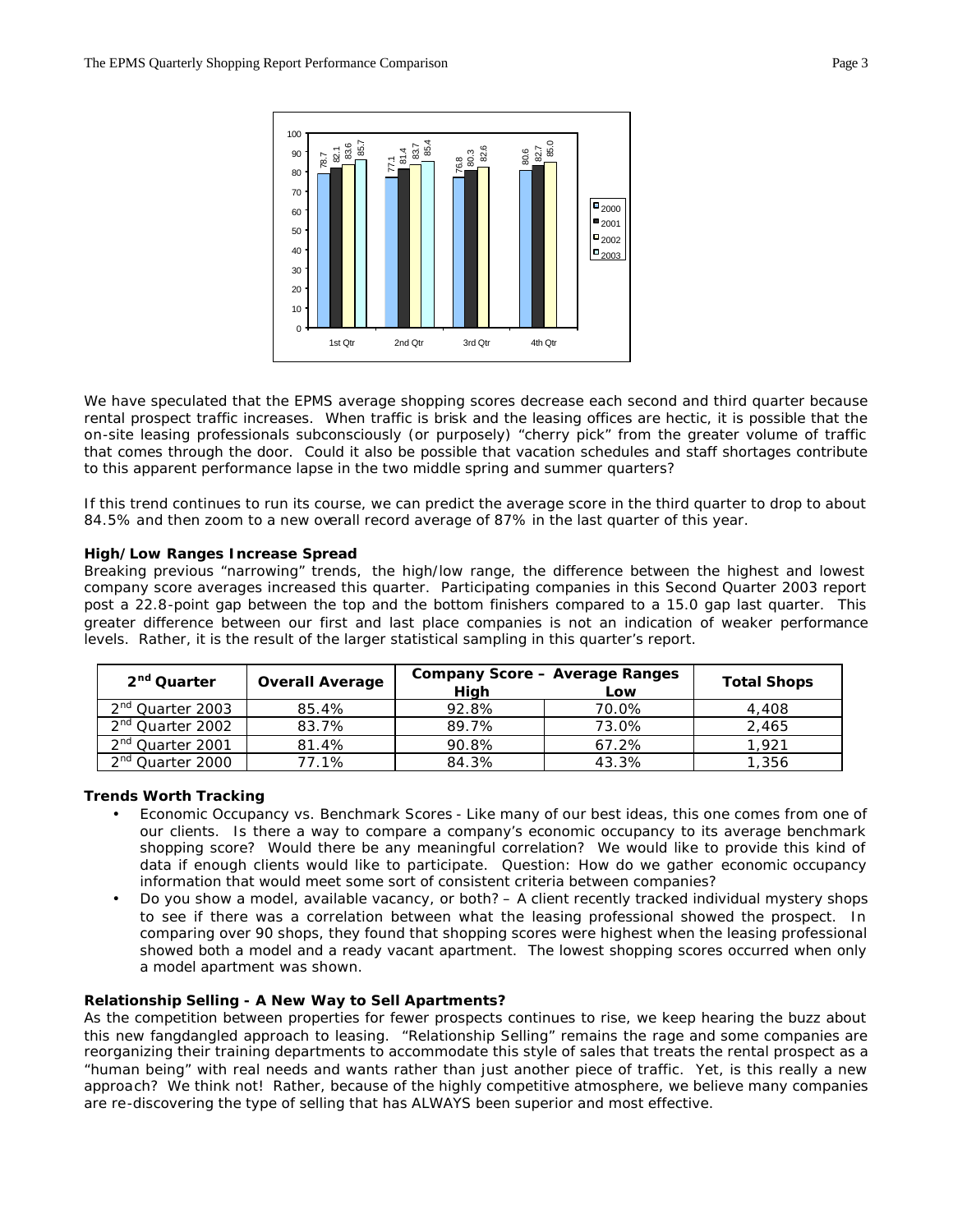

We have speculated that the EPMS average shopping scores decrease each second and third quarter because rental prospect traffic increases. When traffic is brisk and the leasing offices are hectic, it is possible that the on-site leasing professionals subconsciously (or purposely) "cherry pick" from the greater volume of traffic that comes through the door. Could it also be possible that vacation schedules and staff shortages contribute to this apparent performance lapse in the two middle spring and summer quarters?

If this trend continues to run its course, we can predict the average score in the third quarter to drop to about 84.5% and then zoom to a new overall record average of 87% in the last quarter of this year.

#### **High/Low Ranges Increase Spread**

Breaking previous "narrowing" trends, the high/low range, the difference between the highest and lowest company score averages increased this quarter. Participating companies in this Second Quarter 2003 report post a 22.8-point gap between the top and the bottom finishers compared to a 15.0 gap last quarter. This greater difference between our first and last place companies is not an indication of weaker performance levels. Rather, it is the result of the larger statistical sampling in this quarter's report.

| 2 <sup>nd</sup> Quarter      | <b>Overall Average</b> | <b>Company Score - Average Ranges</b> | <b>Total Shops</b> |       |
|------------------------------|------------------------|---------------------------------------|--------------------|-------|
|                              |                        | High                                  | Low                |       |
| 2 <sup>nd</sup> Quarter 2003 | 85.4%                  | 92.8%                                 | 70.0%              | 4,408 |
| 2 <sup>nd</sup> Quarter 2002 | 83.7%                  | 89.7%                                 | 73.0%              | 2,465 |
| 2 <sup>nd</sup> Quarter 2001 | 81.4%                  | 90.8%                                 | 67.2%              | 1,921 |
| 2 <sup>nd</sup> Quarter 2000 | 77.1%                  | 84.3%                                 | 43.3%              | 1,356 |

#### **Trends Worth Tracking**

- Economic Occupancy vs. Benchmark Scores Like many of our best ideas, this one comes from one of our clients. Is there a way to compare a company's economic occupancy to its average benchmark shopping score? Would there be any meaningful correlation? We would like to provide this kind of data if enough clients would like to participate. Question: How do we gather economic occupancy information that would meet some sort of consistent criteria between companies?
- Do you show a model, available vacancy, or both? A client recently tracked individual mystery shops to see if there was a correlation between what the leasing professional showed the prospect. In comparing over 90 shops, they found that shopping scores were highest when the leasing professional showed both a model and a ready vacant apartment. The lowest shopping scores occurred when only a model apartment was shown.

## **Relationship Selling - A New Way to Sell Apartments?**

As the competition between properties for fewer prospects continues to rise, we keep hearing the buzz about this new fangdangled approach to leasing. "Relationship Selling" remains the rage and some companies are reorganizing their training departments to accommodate this style of sales that treats the rental prospect as a "human being" with real needs and wants rather than just another piece of traffic. Yet, is this really a new approach? We think not! Rather, because of the highly competitive atmosphere, we believe many companies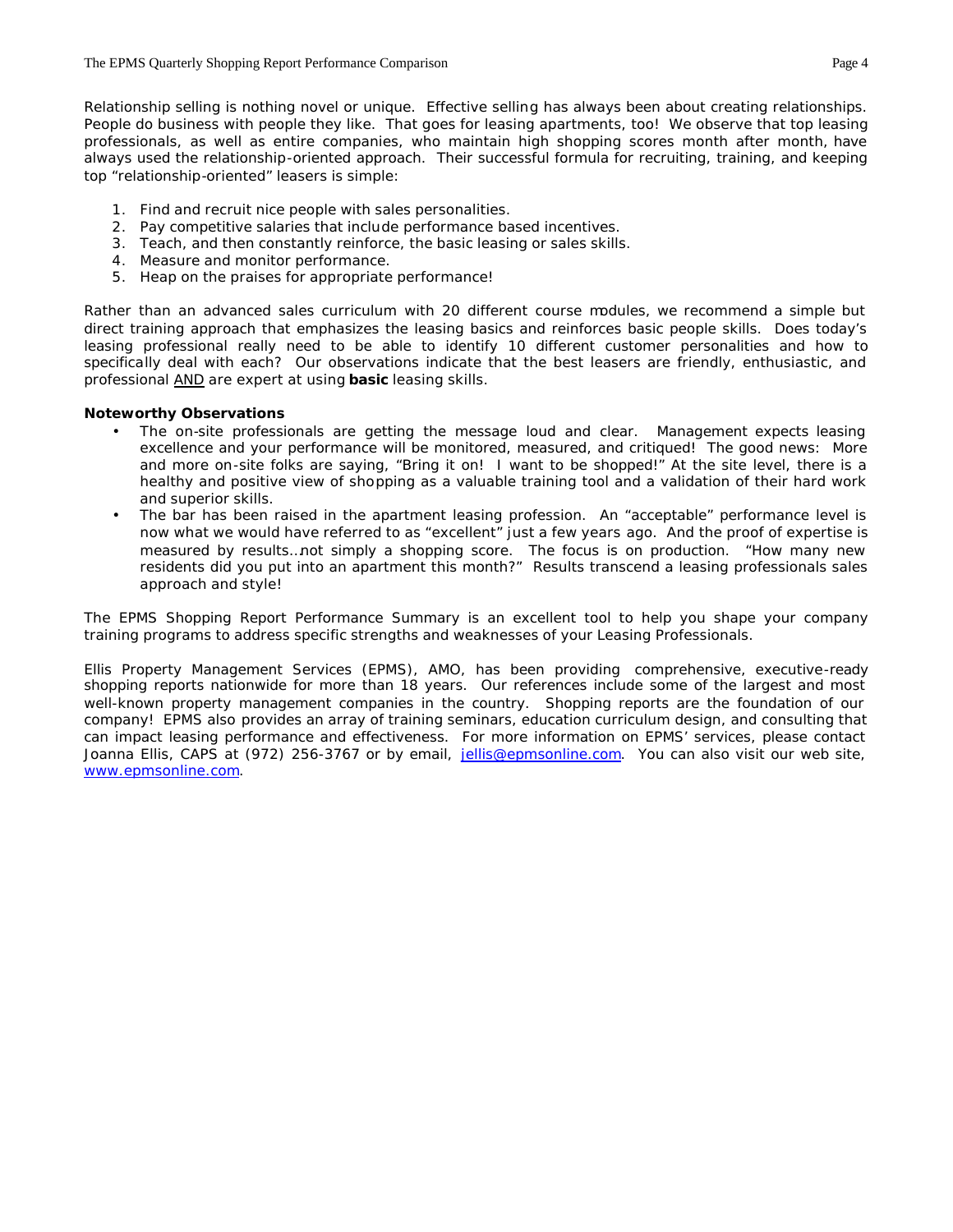Relationship selling is nothing novel or unique. Effective selling has always been about creating relationships. People do business with people they like. That goes for leasing apartments, too! We observe that top leasing professionals, as well as entire companies, who maintain high shopping scores month after month, have always used the relationship-oriented approach. Their successful formula for recruiting, training, and keeping top "relationship-oriented" leasers is simple:

- 1. Find and recruit nice people with sales personalities.
- 2. Pay competitive salaries that include performance based incentives.
- 3. Teach, and then constantly reinforce, the basic leasing or sales skills.
- 4. Measure and monitor performance.
- 5. Heap on the praises for appropriate performance!

Rather than an advanced sales curriculum with 20 different course modules, we recommend a simple but direct training approach that emphasizes the leasing basics and reinforces basic people skills. Does today's leasing professional really need to be able to identify 10 different customer personalities and how to specifically deal with each? Our observations indicate that the best leasers are friendly, enthusiastic, and professional AND are expert at using *basic* leasing skills.

#### **Noteworthy Observations**

- The on-site professionals are getting the message loud and clear. Management expects leasing excellence and your performance will be monitored, measured, and critiqued! The good news: More and more on-site folks are saying, "Bring it on! I want to be shopped!" At the site level, there is a healthy and positive view of shopping as a valuable training tool and a validation of their hard work and superior skills.
- The bar has been raised in the apartment leasing profession. An "acceptable" performance level is now what we would have referred to as "excellent" just a few years ago. And the proof of expertise is measured by results…not simply a shopping score. The focus is on production. "How many new residents did you put into an apartment this month?" Results transcend a leasing professionals sales approach and style!

The *EPMS Shopping Report Performance Summary* is an excellent tool to help you shape your company training programs to address specific strengths and weaknesses of your Leasing Professionals.

Ellis Property Management Services (EPMS), AMO, has been providing comprehensive, executive-ready shopping reports nationwide for more than 18 years. Our references include some of the largest and most well-known property management companies in the country. Shopping reports are the foundation of our company! EPMS also provides an array of training seminars, education curriculum design, and consulting that can impact leasing performance and effectiveness. For more information on EPMS' services, please contact Joanna Ellis, CAPS at (972) 256-3767 or by email, jellis@epmsonline.com. You can also visit our web site, www.epmsonline.com.